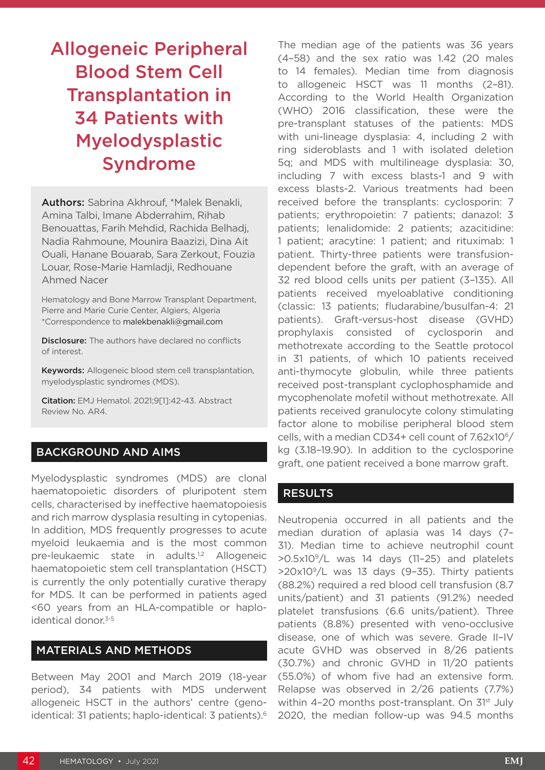# Allogeneic Peripheral Blood Stem Cell Transplantation in 34 Patients with Myelodysplastic Syndrome

Authors: Sabrina Akhrouf, \*Malek Benakli, Amina Talbi, Imane Abderrahim, Rihab Benouattas, Farih Mehdid, Rachida Belhadj, Nadia Rahmoune, Mounira Baazizi, Dina Ait Ouali, Hanane Bouarab, Sara Zerkout, Fouzia Louar, Rose-Marie Hamladji, Redhouane Ahmed Nacer

Hematology and Bone Marrow Transplant Department, Pierre and Marie Curie Center, Algiers, Algeria \*Correspondence to malekbenakli@gmail.com

**Disclosure:** The authors have declared no conflicts of interest.

Keywords: Allogeneic blood stem cell transplantation, myelodysplastic syndromes (MDS).

Citation: EMJ Hematol. 2021;9[1]:42-43. Abstract Review No. AR4.

## BACKGROUND AND AIMS

Myelodysplastic syndromes (MDS) are clonal haematopoietic disorders of pluripotent stem cells, characterised by ineffective haematopoiesis and rich marrow dysplasia resulting in cytopenias. In addition, MDS frequently progresses to acute myeloid leukaemia and is the most common pre-leukaemic state in adults.<sup>1,2</sup> Allogeneic haematopoietic stem cell transplantation (HSCT) is currently the only potentially curative therapy for MDS. It can be performed in patients aged <60 years from an HLA-compatible or haploidentical donor.<sup>3-5</sup>

#### MATERIALS AND METHODS

Between May 2001 and March 2019 (18-year period), 34 patients with MDS underwent allogeneic HSCT in the authors' centre (genoidentical: 31 patients; haplo-identical: 3 patients).6 The median age of the patients was 36 years (4–58) and the sex ratio was 1.42 (20 males to 14 females). Median time from diagnosis to allogeneic HSCT was 11 months (2–81). According to the World Health Organization (WHO) 2016 classification, these were the pre-transplant statuses of the patients: MDS with uni-lineage dysplasia: 4, including 2 with ring sideroblasts and 1 with isolated deletion 5q; and MDS with multilineage dysplasia: 30, including 7 with excess blasts-1 and 9 with excess blasts-2. Various treatments had been received before the transplants: cyclosporin: 7 patients; erythropoietin: 7 patients; danazol: 3 patients; lenalidomide: 2 patients; azacitidine: 1 patient; aracytine: 1 patient; and rituximab: 1 patient. Thirty-three patients were transfusiondependent before the graft, with an average of 32 red blood cells units per patient (3–135). All patients received myeloablative conditioning (classic: 13 patients; fludarabine/busulfan-4: 21 patients). Graft-versus-host disease (GVHD) prophylaxis consisted of cyclosporin and methotrexate according to the Seattle protocol in 31 patients, of which 10 patients received anti-thymocyte globulin, while three patients received post-transplant cyclophosphamide and mycophenolate mofetil without methotrexate. All patients received granulocyte colony stimulating factor alone to mobilise peripheral blood stem cells, with a median CD34+ cell count of 7.62x106/ kg (3.18–19.90). In addition to the cyclosporine graft, one patient received a bone marrow graft.

### **RESULTS**

Neutropenia occurred in all patients and the median duration of aplasia was 14 days (7– 31). Median time to achieve neutrophil count >0.5x109/L was 14 days (11–25) and platelets  $>20x10<sup>9</sup>/L$  was 13 days (9-35). Thirty patients (88.2%) required a red blood cell transfusion (8.7 units/patient) and 31 patients (91.2%) needed platelet transfusions (6.6 units/patient). Three patients (8.8%) presented with veno-occlusive disease, one of which was severe. Grade II–IV acute GVHD was observed in 8/26 patients (30.7%) and chronic GVHD in 11/20 patients (55.0%) of whom five had an extensive form. Relapse was observed in 2/26 patients (7.7%) within 4-20 months post-transplant. On 31<sup>st</sup> July 2020, the median follow-up was 94.5 months